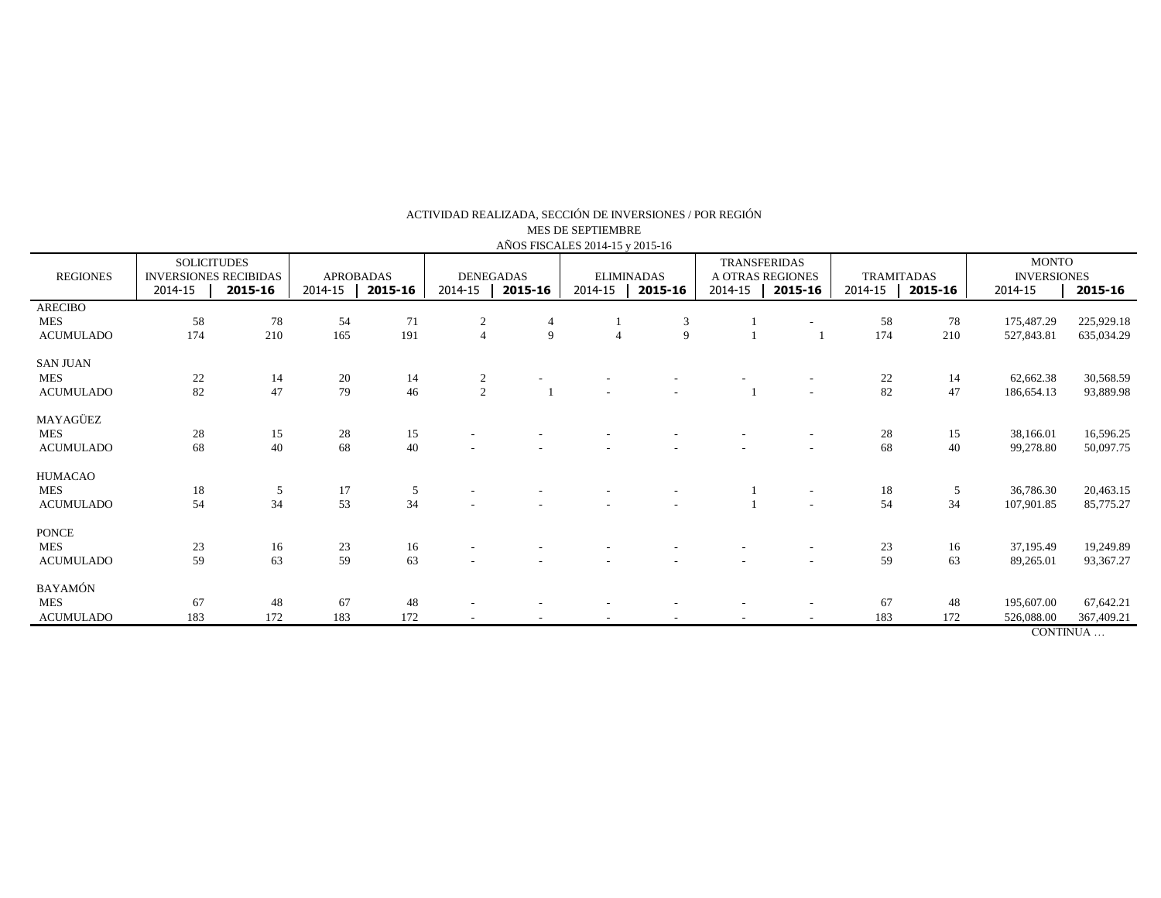| $1.11$ OD 1 IDC/HELD $201 - 10$ $\gamma$ $201 - 10$ |                                                    |         |                  |         |                  |         |                   |         |                                         |         |                   |         |                                    |            |
|-----------------------------------------------------|----------------------------------------------------|---------|------------------|---------|------------------|---------|-------------------|---------|-----------------------------------------|---------|-------------------|---------|------------------------------------|------------|
|                                                     | <b>SOLICITUDES</b><br><b>INVERSIONES RECIBIDAS</b> |         | <b>APROBADAS</b> |         | <b>DENEGADAS</b> |         | <b>ELIMINADAS</b> |         | <b>TRANSFERIDAS</b><br>A OTRAS REGIONES |         | <b>TRAMITADAS</b> |         | <b>MONTO</b><br><b>INVERSIONES</b> |            |
| <b>REGIONES</b>                                     | 2014-15                                            | 2015-16 | 2014-15          | 2015-16 | 2014-15          | 2015-16 | 2014-15           | 2015-16 | $2014 - 15$                             | 2015-16 | 2014-15           | 2015-16 | 2014-15                            | 2015-16    |
|                                                     |                                                    |         |                  |         |                  |         |                   |         |                                         |         |                   |         |                                    |            |
| <b>ARECIBO</b>                                      |                                                    |         |                  |         |                  |         |                   |         |                                         |         |                   |         |                                    |            |
| <b>MES</b>                                          | 58                                                 | 78      | 54               | 71      | $\overline{c}$   | 4       |                   | 3       |                                         |         | 58                | 78      | 175,487.29                         | 225,929.18 |
| <b>ACUMULADO</b>                                    | 174                                                | 210     | 165              | 191     | $\overline{4}$   | 9       | $\overline{4}$    | 9       |                                         |         | 174               | 210     | 527,843.81                         | 635,034.29 |
| <b>SAN JUAN</b>                                     |                                                    |         |                  |         |                  |         |                   |         |                                         |         |                   |         |                                    |            |
| <b>MES</b>                                          | 22                                                 | 14      | 20               | 14      |                  |         |                   |         |                                         |         | 22                | 14      | 62,662.38                          | 30,568.59  |
|                                                     |                                                    |         |                  |         | $\overline{2}$   |         |                   |         |                                         |         |                   |         |                                    |            |
| <b>ACUMULADO</b>                                    | 82                                                 | 47      | 79               | 46      | $\sqrt{2}$       |         |                   |         |                                         |         | 82                | 47      | 186,654.13                         | 93,889.98  |
| MAYAGÜEZ                                            |                                                    |         |                  |         |                  |         |                   |         |                                         |         |                   |         |                                    |            |
| <b>MES</b>                                          | 28                                                 | 15      | 28               | 15      |                  |         |                   |         |                                         |         | 28                | 15      | 38,166.01                          | 16,596.25  |
| <b>ACUMULADO</b>                                    | 68                                                 | 40      | 68               | 40      |                  |         |                   |         |                                         |         | 68                | 40      | 99,278.80                          | 50,097.75  |
|                                                     |                                                    |         |                  |         |                  |         |                   |         |                                         |         |                   |         |                                    |            |
| HUMACAO                                             |                                                    |         |                  |         |                  |         |                   |         |                                         |         |                   |         |                                    |            |
| <b>MES</b>                                          | 18                                                 | 5       | 17               | 5       |                  |         |                   |         |                                         | $\sim$  | 18                | 5       | 36,786.30                          | 20,463.15  |
| <b>ACUMULADO</b>                                    | 54                                                 | 34      | 53               | 34      |                  |         |                   |         |                                         |         | 54                | 34      | 107,901.85                         | 85,775.27  |
| <b>PONCE</b>                                        |                                                    |         |                  |         |                  |         |                   |         |                                         |         |                   |         |                                    |            |
|                                                     |                                                    |         |                  |         |                  |         |                   |         |                                         |         |                   |         |                                    |            |
| <b>MES</b>                                          | 23                                                 | 16      | 23               | 16      |                  |         |                   |         |                                         |         | 23                | 16      | 37,195.49                          | 19,249.89  |
| <b>ACUMULADO</b>                                    | 59                                                 | 63      | 59               | 63      |                  |         |                   |         |                                         |         | 59                | 63      | 89,265.01                          | 93,367.27  |
| BAYAMÓN                                             |                                                    |         |                  |         |                  |         |                   |         |                                         |         |                   |         |                                    |            |
| <b>MES</b>                                          | 67                                                 | 48      | 67               | 48      |                  |         |                   |         |                                         |         | 67                | 48      | 195,607.00                         | 67,642.21  |
| <b>ACUMULADO</b>                                    | 183                                                | 172     | 183              | 172     |                  |         |                   |         |                                         |         | 183               | 172     | 526,088.00                         | 367,409.21 |
|                                                     |                                                    |         |                  |         |                  |         |                   |         |                                         |         |                   |         | CONTINUA                           |            |

## ACTIVIDAD REALIZADA, SECCIÓN DE INVERSIONES / POR REGIÓN AÑOS FISCALES 2014-15 y 2015-16 MES DE SEPTIEMBRE